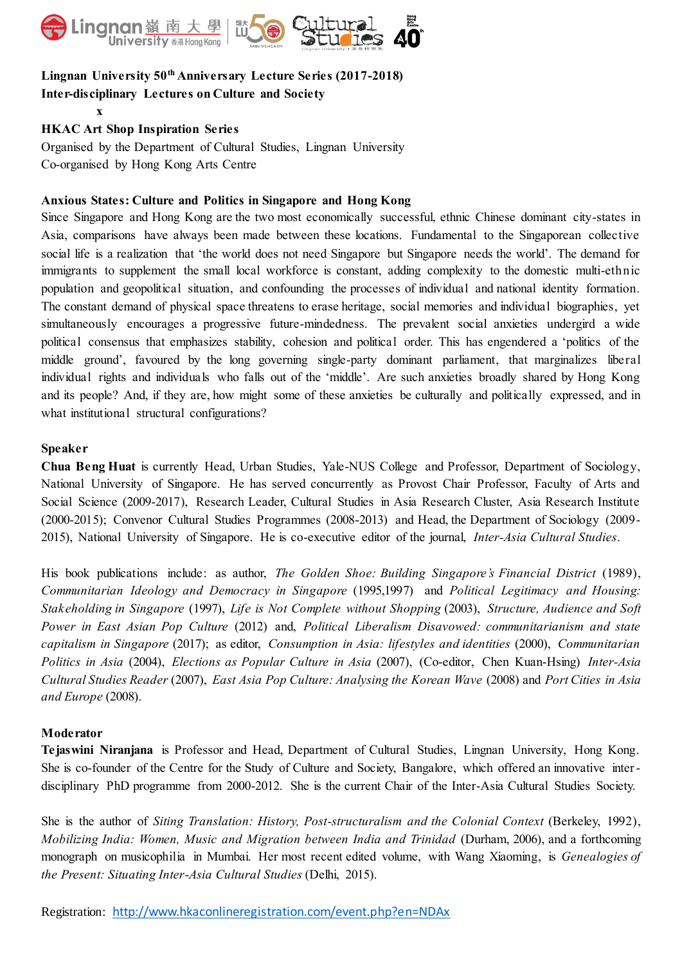

## **Lingnan University 50th Anniversary Lecture Series (2017-2018) Inter-disciplinary Lectures on Culture and Society**

### **HKAC Art Shop Inspiration Series**

**x**

Organised by the Department of Cultural Studies, Lingnan University Co-organised by Hong Kong Arts Centre

#### **Anxious States: Culture and Politics in Singapore and Hong Kong**

Since Singapore and Hong Kong are the two most economically successful, ethnic Chinese dominant city-states in Asia, comparisons have always been made between these locations. Fundamental to the Singaporean collective social life is a realization that 'the world does not need Singapore but Singapore needs the world'. The demand for immigrants to supplement the small local workforce is constant, adding complexity to the domestic multi-ethnic population and geopolitical situation, and confounding the processes of individual and national identity formation. The constant demand of physical space threatens to erase heritage, social memories and individual biographies, yet simultaneously encourages a progressive future-mindedness. The prevalent social anxieties undergird a wide political consensus that emphasizes stability, cohesion and political order. This has engendered a 'politics of the middle ground', favoured by the long governing single-party dominant parliament, that marginalizes liberal individual rights and individuals who falls out of the 'middle'. Are such anxieties broadly shared by Hong Kong and its people? And, if they are, how might some of these anxieties be culturally and politically expressed, and in what institutional structural configurations?

#### **Speaker**

**Chua Beng Huat** is currently Head, Urban Studies, Yale-NUS College and Professor, Department of Sociology, National University of Singapore. He has served concurrently as Provost Chair Professor, Faculty of Arts and Social Science (2009-2017), Research Leader, Cultural Studies in Asia Research Cluster, Asia Research Institute (2000-2015); Convenor Cultural Studies Programmes (2008-2013) and Head, the Department of Sociology (2009- 2015), National University of Singapore. He is co-executive editor of the journal, *Inter-Asia Cultural Studies*.

His book publications include: as author, *The Golden Shoe: Building Singapore's Financial District* (1989), *Communitarian Ideology and Democracy in Singapore* (1995,1997) and *Political Legitimacy and Housing: Stakeholding in Singapore* (1997), *Life is Not Complete without Shopping* (2003), *Structure, Audience and Soft Power in East Asian Pop Culture* (2012) and, *Political Liberalism Disavowed: communitarianism and state capitalism in Singapore* (2017); as editor, *Consumption in Asia: lifestyles and identities* (2000), *Communitarian Politics in Asia* (2004), *Elections as Popular Culture in Asia* (2007), (Co-editor, Chen Kuan-Hsing) *Inter-Asia Cultural Studies Reader* (2007), *East Asia Pop Culture: Analysing the Korean Wave* (2008) and *Port Cities in Asia and Europe* (2008).

#### **Moderator**

**Tejaswini Niranjana** is Professor and Head, Department of Cultural Studies, Lingnan University, Hong Kong. She is co-founder of the Centre for the Study of Culture and Society, Bangalore, which offered an innovative interdisciplinary PhD programme from 2000-2012. She is the current Chair of the Inter-Asia Cultural Studies Society.

She is the author of *Siting Translation: History, Post-structuralism and the Colonial Context* (Berkeley, 1992), *Mobilizing India: Women, Music and Migration between India and Trinidad* (Durham, 2006), and a forthcoming monograph on musicophilia in Mumbai. Her most recent edited volume, with Wang Xiaoming, is *Genealogies of the Present: Situating Inter-Asia Cultural Studies* (Delhi, 2015).